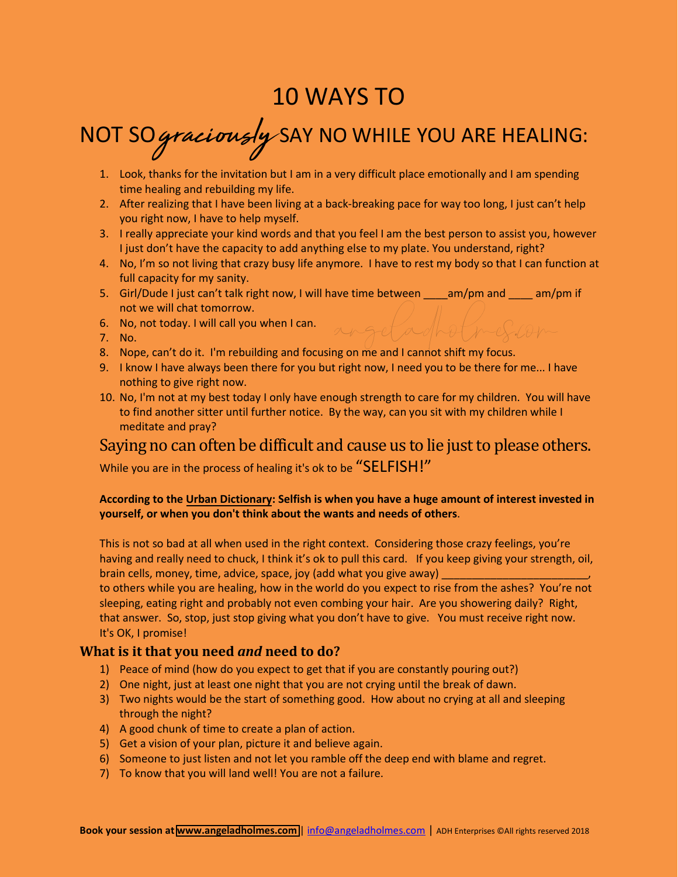# 10 WAYS TO

# NOT SOgraciously SAY NO WHILE YOU ARE HEALING:

- 1. Look, thanks for the invitation but I am in a very difficult place emotionally and I am spending time healing and rebuilding my life.
- 2. After realizing that I have been living at a back-breaking pace for way too long, I just can't help you right now, I have to help myself.
- 3. I really appreciate your kind words and that you feel I am the best person to assist you, however I just don't have the capacity to add anything else to my plate. You understand, right?
- 4. No, I'm so not living that crazy busy life anymore. I have to rest my body so that I can function at full capacity for my sanity.

angeladholmes.com

- 5. Girl/Dude I just can't talk right now, I will have time between am/pm and am/pm if not we will chat tomorrow.
- 6. No, not today. I will call you when I can.
- 7. No.
- 8. Nope, can't do it. I'm rebuilding and focusing on me and I cannot shift my focus.
- 9. I know I have always been there for you but right now, I need you to be there for me... I have nothing to give right now.
- 10. No, I'm not at my best today I only have enough strength to care for my children. You will have to find another sitter until further notice. By the way, can you sit with my children while I meditate and pray?

## Saying no can often be difficult and cause us to lie just to please others.

While you are in the process of healing it's ok to be "SELFISH!"

#### **According to the Urban Dictionary: Selfish is when you have a huge amount of interest invested in yourself, or when you don't think about the wants and needs of others**.

This is not so bad at all when used in the right context. Considering those crazy feelings, you're having and really need to chuck, I think it's ok to pull this card. If you keep giving your strength, oil, brain cells, money, time, advice, space, joy (add what you give away)

to others while you are healing, how in the world do you expect to rise from the ashes? You're not sleeping, eating right and probably not even combing your hair. Are you showering daily? Right, that answer. So, stop, just stop giving what you don't have to give. You must receive right now. It's OK, I promise!

### **What is it that you need** *and* **need to do?**

- 1) Peace of mind (how do you expect to get that if you are constantly pouring out?)
- 2) One night, just at least one night that you are not crying until the break of dawn.
- 3) Two nights would be the start of something good. How about no crying at all and sleeping through the night?
- 4) A good chunk of time to create a plan of action.
- 5) Get a vision of your plan, picture it and believe again.
- 6) Someone to just listen and not let you ramble off the deep end with blame and regret.
- 7) To know that you will land well! You are not a failure.